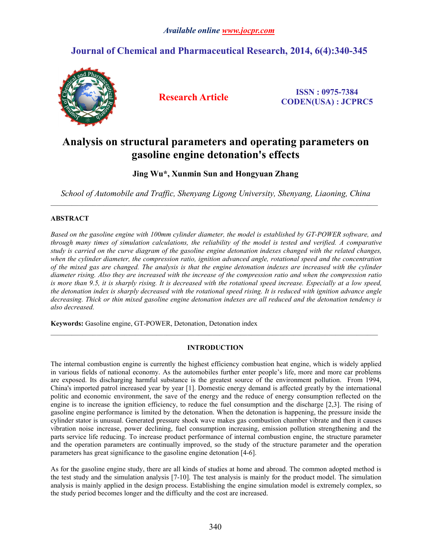# **Journal of Chemical and Pharmaceutical Research, 2014, 6(4):340-345**



**Research Article ISSN : 0975-7384 CODEN(USA) : JCPRC5**

# **Analysis on structural parameters and operating parameters on gasoline engine detonation's effects**

**Jing Wu\*, Xunmin Sun and Hongyuan Zhang**

*School of Automobile and Traffic, Shenyang Ligong University, Shenyang, Liaoning, China*

# **ABSTRACT**

Based on the gasoline engine with 100mm cylinder diameter, the model is established by GT-POWER software, and through many times of simulation calculations, the reliability of the model is tested and verified. A comparative study is carried on the curve diagram of the gasoline engine detonation indexes changed with the related changes, *when the cylinder diameter, the compression ratio, ignition advanced angle, rotational speed and the concentration* of the mixed gas are changed. The analysis is that the engine detonation indexes are increased with the cylinder diameter rising. Also they are increased with the increase of the compression ratio and when the compression ratio is more than 9.5, it is sharply rising. It is decreased with the rotational speed increase. Especially at a low speed, the detonation index is sharply decreased with the rotational speed rising. It is reduced with ignition advance angle decreasing. Thick or thin mixed gasoline engine detonation indexes are all reduced and the detonation tendency is *also decreased.*

**Keywords:** Gasoline engine, GT-POWER, Detonation, Detonation index

## **INTRODUCTION**

 $\_$  ,  $\_$  ,  $\_$  ,  $\_$  ,  $\_$  ,  $\_$  ,  $\_$  ,  $\_$  ,  $\_$  ,  $\_$  ,  $\_$  ,  $\_$  ,  $\_$  ,  $\_$  ,  $\_$  ,  $\_$  ,  $\_$  ,  $\_$  ,  $\_$  ,  $\_$  ,  $\_$  ,  $\_$  ,  $\_$  ,  $\_$  ,  $\_$  ,  $\_$  ,  $\_$  ,  $\_$  ,  $\_$  ,  $\_$  ,  $\_$  ,  $\_$  ,  $\_$  ,  $\_$  ,  $\_$  ,  $\_$  ,  $\_$  ,

The internal combustion engine is currently the highest efficiency combustion heat engine, which is widely applied in various fields of national economy. As the automobiles further enter people's life, more and more car problems are exposed. Its discharging harmful substance is the greatest source of the environment pollution. From 1994, China's imported patrol increased year by year [1]. Domestic energy demand is affected greatly by the international politic and economic environment, the save of the energy and the reduce of energy consumption reflected on the engine is to increase the ignition efficiency, to reduce the fuel consumption and the discharge [2,3]. The rising of gasoline engine performance is limited by the detonation. When the detonation is happening, the pressure inside the cylinder stator is unusual. Generated pressure shock wave makes gas combustion chamber vibrate and then it causes vibration noise increase, power declining, fuel consumption increasing, emission pollution strengthening and the parts service life reducing. To increase product performance of internal combustion engine, the structure parameter and the operation parameters are continually improved, so the study of the structure parameter and the operation parameters has great significance to the gasoline engine detonation [4-6].

As for the gasoline engine study, there are all kinds of studies at home and abroad. The common adopted method is the test study and the simulation analysis [7-10]. The test analysis is mainly for the product model. The simulation analysis is mainly applied in the design process. Establishing the engine simulation model is extremely complex, so the study period becomes longer and the difficulty and the cost are increased.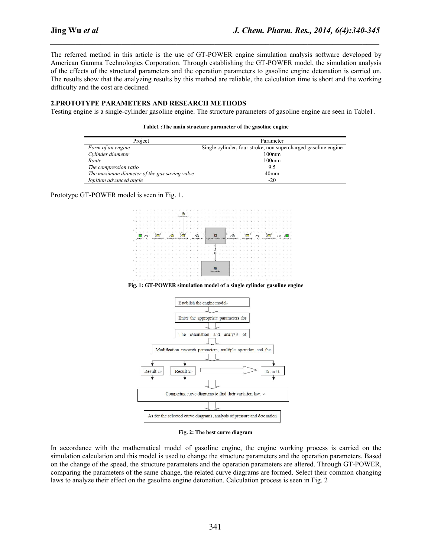The referred method in this article is the use of GT-POWER engine simulation analysis software developed by American Gamma Technologies Corporation. Through establishing the GT-POWER model, the simulation analysis of the effects of the structural parameters and the operation parameters to gasoline engine detonation is carried on. The results show that the analyzing results by this method are reliable, the calculation time is short and the working difficulty and the cost are declined.

*\_\_\_\_\_\_\_\_\_\_\_\_\_\_\_\_\_\_\_\_\_\_\_\_\_\_\_\_\_\_\_\_\_\_\_\_\_\_\_\_\_\_\_\_\_\_\_\_\_\_\_\_\_\_\_\_\_\_\_\_\_\_\_\_\_\_\_\_\_\_\_\_\_\_\_\_\_\_*

## **2.PROTOTYPE PARAMETERS AND RESEARCH METHODS**

Testing engine is a single-cylinder gasoline engine. The structure parameters of gasoline engine are seen in Table1.

| Project                                      | Parameter                                                      |  |
|----------------------------------------------|----------------------------------------------------------------|--|
| Form of an engine                            | Single cylinder, four stroke, non supercharged gasoline engine |  |
| Cylinder diameter                            | 100 <sub>mm</sub>                                              |  |
| Route                                        | 100 <sub>mm</sub>                                              |  |
| The compression ratio                        | 9.5                                                            |  |
| The maximum diameter of the gas saving valve | 40 <sub>mm</sub>                                               |  |
| Ignition advanced angle                      | $-20$                                                          |  |

|  | Table1: The main structure parameter of the gasoline engine |  |  |  |
|--|-------------------------------------------------------------|--|--|--|
|--|-------------------------------------------------------------|--|--|--|

Prototype GT-POWER model is seen in Fig. 1.



**Fig. 1: GT-POWER simulation model of a single cylinder gasoline engine**



**Fig. 2: The best curve diagram**

In accordance with the mathematical model of gasoline engine, the engine working process is carried on the simulation calculation and this model is used to change the structure parameters and the operation parameters. Based on the change of the speed, the structure parameters and the operation parameters are altered. Through GT-POWER, comparing the parameters of the same change, the related curve diagrams are formed. Select their common changing laws to analyze their effect on the gasoline engine detonation. Calculation process is seen in Fig. 2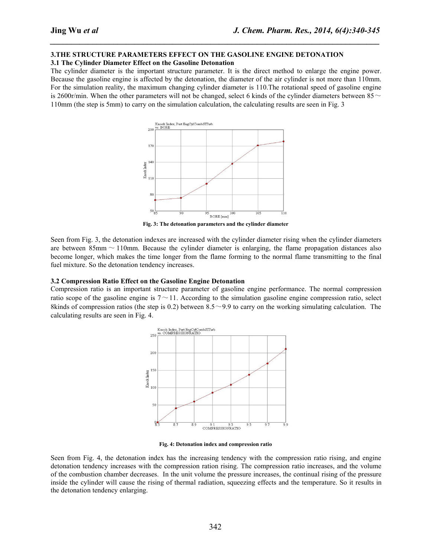## **3.THE STRUCTURE PARAMETERS EFFECT ON THE GASOLINE ENGINE DETONATION**

**3.1 The Cylinder Diameter Effect on the Gasoline Detonation**

The cylinder diameter is the important structure parameter. It is the direct method to enlarge the engine power. Because the gasoline engine is affected by the detonation, the diameter of the air cylinder is not more than 110mm. For the simulation reality, the maximum changing cylinder diameter is 110.The rotational speed of gasoline engine is 2600r/min. When the other parameters will not be changed, select 6 kinds of the cylinder diameters between  $85~\sim$ 110mm (the step is 5mm) to carry on the simulation calculation, the calculating results are seen in Fig. 3

*\_\_\_\_\_\_\_\_\_\_\_\_\_\_\_\_\_\_\_\_\_\_\_\_\_\_\_\_\_\_\_\_\_\_\_\_\_\_\_\_\_\_\_\_\_\_\_\_\_\_\_\_\_\_\_\_\_\_\_\_\_\_\_\_\_\_\_\_\_\_\_\_\_\_\_\_\_\_*



**Fig. 3: The detonation parameters and the cylinder diameter**

Seen from Fig. 3, the detonation indexes are increased with the cylinder diameter rising when the cylinder diameters are between  $85 \text{mm} \sim 110 \text{mm}$ . Because the cylinder diameter is enlarging, the flame propagation distances also become longer, which makes the time longer from the flame forming to the normalflame transmitting to the final fuel mixture. So the detonation tendency increases.

#### **3.2 Compression Ratio Effect on the Gasoline Engine Detonation**

Compression ratio is an important structure parameter of gasoline engine performance. The normal compression ratio scope of the gasoline engine is  $7 \sim 11$ . According to the simulation gasoline engine compression ratio, select 8kinds of compression ratios (the step is 0.2) between  $8.5 \sim 9.9$  to carry on the working simulating calculation. The calculating results are seen in Fig. 4.



**Fig. 4: Detonation index and compression ratio**

Seen from Fig. 4, the detonation index has the increasing tendency with the compression ratio rising, and engine detonation tendency increases with the compression ration rising. The compression ratio increases, and the volume of the combustion chamber decreases. In the unit volume the pressure increases, the continual rising of the pressure inside the cylinder will cause the rising of thermal radiation, squeezing effects and the temperature. So it results in the detonation tendency enlarging.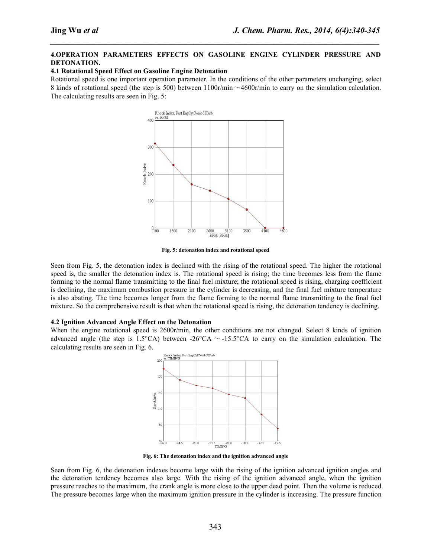## **4.OPERATION PARAMETERS EFFECTS ON GASOLINE ENGINE CYLINDER PRESSURE AND DETONATION.**

*\_\_\_\_\_\_\_\_\_\_\_\_\_\_\_\_\_\_\_\_\_\_\_\_\_\_\_\_\_\_\_\_\_\_\_\_\_\_\_\_\_\_\_\_\_\_\_\_\_\_\_\_\_\_\_\_\_\_\_\_\_\_\_\_\_\_\_\_\_\_\_\_\_\_\_\_\_\_*

### **4.1 Rotational Speed Effect on Gasoline Engine Detonation**

Rotational speed is one important operation parameter. In the conditions of the other parameters unchanging, select 8 kinds of rotational speed (the step is 500) between  $1100r/min \sim 4600r/min$  to carry on the simulation calculation. The calculating results are seen in Fig. 5:



**Fig. 5: detonation index and rotational speed**

Seen from Fig. 5, the detonation index is declined with the rising of the rotational speed. The higher the rotational speed is, the smaller the detonation index is. The rotational speed is rising; the time becomes less from the flame forming to the normal flame transmitting to the final fuel mixture; the rotational speed is rising, charging coefficient is declining, the maximum combustion pressure in the cylinder is decreasing, and the final fuel mixture temperature is also abating. The time becomes longer from the flame forming to the normal flame transmitting to the final fuel mixture. So the comprehensive result is that when the rotational speed is rising, the detonation tendency is declining.

#### **4.2 Ignition Advanced Angle Effect on the Detonation**

When the engine rotational speed is 2600r/min, the other conditions are not changed. Select 8 kinds of ignition advanced angle (the step is 1.5°CA) between -26°CA  $\sim$  -15.5°CA to carry on the simulation calculation. The calculating results are seen in Fig. 6.



**Fig. 6: The detonation index and the ignition advanced angle**

Seen from Fig. 6, the detonation indexes become large with the rising of the ignition advanced ignition angles and the detonation tendency becomes also large. With the rising of the ignition advanced angle, when the ignition pressure reaches to the maximum, the crank angle is more close to the upper dead point. Then the volume is reduced. The pressure becomes large when the maximum ignition pressure in the cylinder is increasing. The pressure function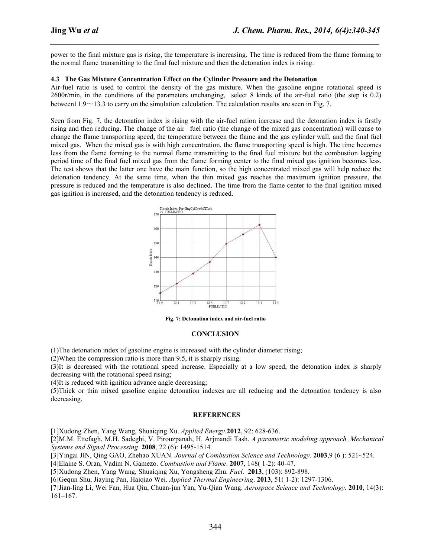power to the final mixture gas is rising, the temperature is increasing. The time is reduced from the flame forming to the normal flame transmitting to the final fuel mixture and then the detonation index is rising.

*\_\_\_\_\_\_\_\_\_\_\_\_\_\_\_\_\_\_\_\_\_\_\_\_\_\_\_\_\_\_\_\_\_\_\_\_\_\_\_\_\_\_\_\_\_\_\_\_\_\_\_\_\_\_\_\_\_\_\_\_\_\_\_\_\_\_\_\_\_\_\_\_\_\_\_\_\_\_*

## **4.3 The Gas Mixture Concentration Effect on the Cylinder Pressure and the Detonation**

Air-fuel ratio is used to control the density of the gas mixture. When the gasoline engine rotational speed is 2600r/min, in the conditions of the parameters unchanging, select 8 kinds of the air-fuel ratio (the step is 0.2) between11.9 $\sim$ 13.3 to carry on the simulation calculation. The calculation results are seen in Fig. 7.

Seen from Fig. 7, the detonation index is rising with the air-fuel ration increase and the detonation index is firstly rising and then reducing. The change of the air –fuel ratio (the change of the mixed gas concentration) will cause to change the flame transporting speed, the temperature between the flame and the gas cylinder wall, and the final fuel mixed gas. When the mixed gas is with high concentration, the flame transporting speed is high. The time becomes less from the flame forming to the normal flame transmitting to the final fuel mixture but the combustion lagging period time of the final fuel mixed gas from the flame forming center to the final mixed gas ignition becomes less. The test shows that the latter one have the main function, so the high concentrated mixed gas will help reduce the detonation tendency. At the same time, when the thin mixed gas reaches the maximum ignition pressure, the pressure is reduced and the temperature is also declined. The time from the flame center to the final ignition mixed gas ignition is increased, and the detonation tendency is reduced.



**Fig. 7: Detonation index and air-fuel ratio**

### **CONCLUSION**

(1)The detonation index of gasoline engine is increased with the cylinder diameter rising;

(2)When the compression ratio is more than 9.5, it is sharply rising.

(3)It is decreased with the rotational speed increase. Especially at a low speed, the detonation index is sharply decreasing with the rotational speed rising;

(4)It is reduced with ignition advance angle decreasing;

(5)Thick or thin mixed gasoline engine detonation indexes are all reducing and the detonation tendency is also decreasing.

#### **REFERENCES**

[1]Xudong Zhen, Yang Wang, Shuaiqing Xu. *Applied Energy*.**2012**, 92: 628-636.

[2]M.M. Ettefagh, M.H. Sadeghi, V. Pirouzpanah, H. Arjmandi Tash. *A parametric modeling approach ,Mechanical Systems and Signal Processing*. **2008**, 22 (6): 1495-1514.

[3]Yingai JIN, Qing GAO, Zhehao XUAN. *Journal of Combustion Science and Technology*. **2003**,9 (6 ): 521~524.

[4]Elaine S. Oran, Vadim N. Gamezo. *Combustion and Flame*. **2007**, 148( 1-2): 40-47.

[5]Xudong Zhen, Yang Wang, Shuaiqing Xu, Yongsheng Zhu. *Fuel*. **2013**, (103): 892-898.

[6]Gequn Shu, Jiaying Pan, Haiqiao Wei. *Applied Thermal Engineering*. **2013**, 51( 1-2): 1297-1306.

[7]Jian-ling Li, Wei Fan, Hua Qiu, Chuan-jun Yan, Yu-Qian Wang. *Aerospace Science and Technology.* **2010**, 14(3): 161–167.